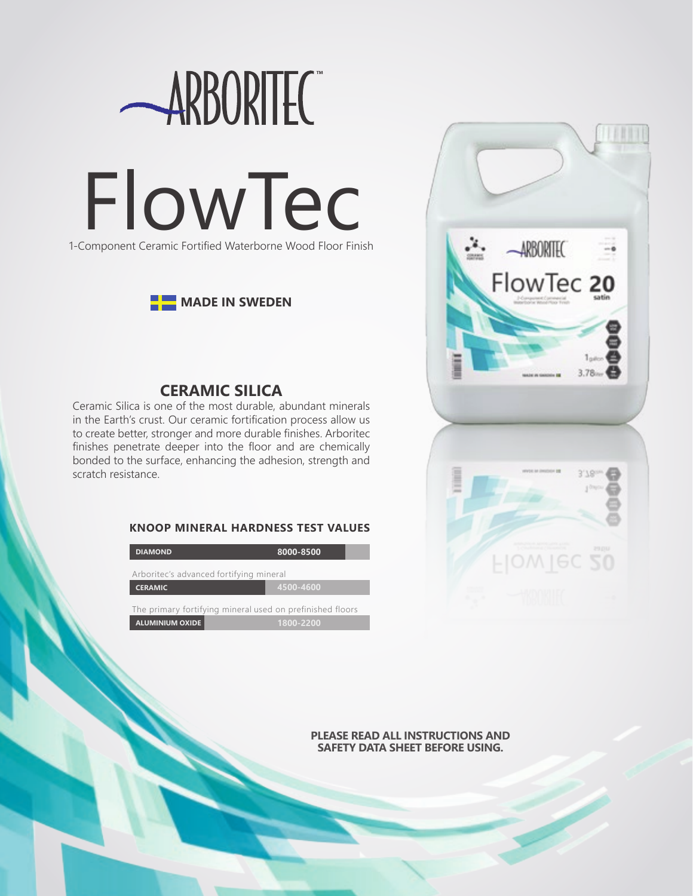



# **CERAMIC SILICA**

Ceramic Silica is one of the most durable, abundant minerals in the Earth's crust. Our ceramic fortification process allow us to create better, stronger and more durable finishes. Arboritec finishes penetrate deeper into the floor and are chemically bonded to the surface, enhancing the adhesion, strength and scratch resistance.

## **KNOOP MINERAL HARDNESS TEST VALUES**

| <b>DIAMOND</b>                                            | 8000-8500 |
|-----------------------------------------------------------|-----------|
| Arboritec's advanced fortifying mineral                   |           |
| <b>CERAMIC</b>                                            | 4500-4600 |
| The primary fortifying mineral used on prefinished floors |           |
| <b>ALUMINIUM OXIDE</b>                                    | 1800-2200 |



**PLEASE READ ALL INSTRUCTIONS AND SAFETY DATA SHEET BEFORE USING.**